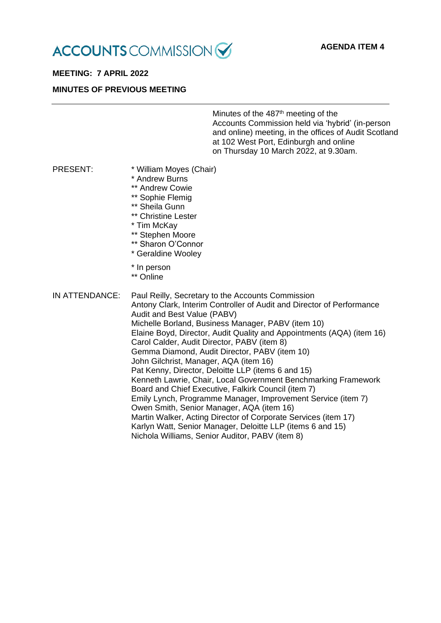

# **MEETING: 7 APRIL 2022**

#### **MINUTES OF PREVIOUS MEETING**

Minutes of the 487<sup>th</sup> meeting of the Accounts Commission held via 'hybrid' (in-person and online) meeting, in the offices of Audit Scotland at 102 West Port, Edinburgh and online on Thursday 10 March 2022, at 9.30am.

- PRESENT: \* William Moyes (Chair)
	- \* Andrew Burns
	- \*\* Andrew Cowie
	- \*\* Sophie Flemig
	- \*\* Sheila Gunn
	- \*\* Christine Lester
	- \* Tim McKay
	- \*\* Stephen Moore
	- \*\* Sharon O'Connor
	- \* Geraldine Wooley
	- \* In person
	- \*\* Online

IN ATTENDANCE: Paul Reilly, Secretary to the Accounts Commission Antony Clark, Interim Controller of Audit and Director of Performance Audit and Best Value (PABV) Michelle Borland, Business Manager, PABV (item 10) Elaine Boyd, Director, Audit Quality and Appointments (AQA) (item 16) Carol Calder, Audit Director, PABV (item 8) Gemma Diamond, Audit Director, PABV (item 10) John Gilchrist, Manager, AQA (item 16) Pat Kenny, Director, Deloitte LLP (items 6 and 15) Kenneth Lawrie, Chair, Local Government Benchmarking Framework Board and Chief Executive, Falkirk Council (item 7) Emily Lynch, Programme Manager, Improvement Service (item 7) Owen Smith, Senior Manager, AQA (item 16) Martin Walker, Acting Director of Corporate Services (item 17) Karlyn Watt, Senior Manager, Deloitte LLP (items 6 and 15) Nichola Williams, Senior Auditor, PABV (item 8)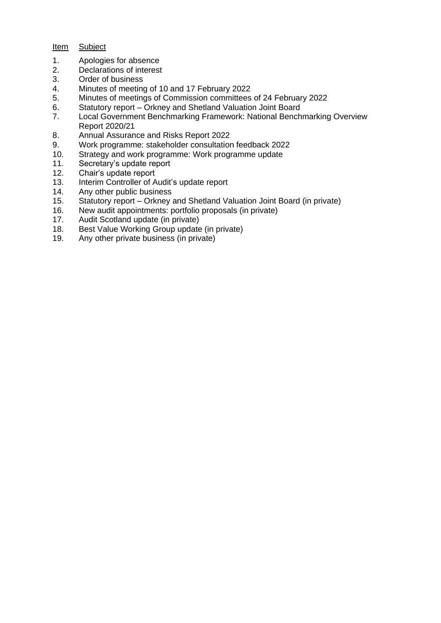# Item Subject

- 1. Apologies for absence<br>2. Declarations of interest
- Declarations of interest
- 3. Order of business
- 4. Minutes of meeting of 10 and 17 February 2022
- 5. Minutes of meetings of Commission committees of 24 February 2022
- 6. Statutory report Orkney and Shetland Valuation Joint Board
- 7. Local Government Benchmarking Framework: National Benchmarking Overview Report 2020/21
- 8. Annual Assurance and Risks Report 2022
- 9. Work programme: stakeholder consultation feedback 2022
- 10. Strategy and work programme: Work programme update
- 11. Secretary's update report
- 12. Chair's update report
- 13. Interim Controller of Audit's update report
- 14. Any other public business
- 15. Statutory report Orkney and Shetland Valuation Joint Board (in private)
- 16. New audit appointments: portfolio proposals (in private)
- Audit Scotland update (in private)
- 18. Best Value Working Group update (in private)
- 19. Any other private business (in private)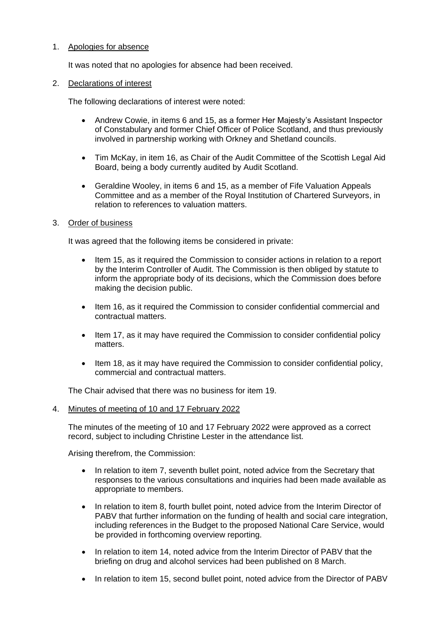## 1. Apologies for absence

It was noted that no apologies for absence had been received.

#### 2. Declarations of interest

The following declarations of interest were noted:

- Andrew Cowie, in items 6 and 15, as a former Her Majesty's Assistant Inspector of Constabulary and former Chief Officer of Police Scotland, and thus previously involved in partnership working with Orkney and Shetland councils.
- Tim McKay, in item 16, as Chair of the Audit Committee of the Scottish Legal Aid Board, being a body currently audited by Audit Scotland.
- Geraldine Wooley, in items 6 and 15, as a member of Fife Valuation Appeals Committee and as a member of the Royal Institution of Chartered Surveyors, in relation to references to valuation matters.

#### 3. Order of business

It was agreed that the following items be considered in private:

- Item 15, as it required the Commission to consider actions in relation to a report by the Interim Controller of Audit. The Commission is then obliged by statute to inform the appropriate body of its decisions, which the Commission does before making the decision public.
- Item 16, as it required the Commission to consider confidential commercial and contractual matters.
- Item 17, as it may have required the Commission to consider confidential policy matters.
- Item 18, as it may have required the Commission to consider confidential policy, commercial and contractual matters.

The Chair advised that there was no business for item 19.

#### 4. Minutes of meeting of 10 and 17 February 2022

The minutes of the meeting of 10 and 17 February 2022 were approved as a correct record, subject to including Christine Lester in the attendance list.

Arising therefrom, the Commission:

- In relation to item 7, seventh bullet point, noted advice from the Secretary that responses to the various consultations and inquiries had been made available as appropriate to members.
- In relation to item 8, fourth bullet point, noted advice from the Interim Director of PABV that further information on the funding of health and social care integration, including references in the Budget to the proposed National Care Service, would be provided in forthcoming overview reporting.
- In relation to item 14, noted advice from the Interim Director of PABV that the briefing on drug and alcohol services had been published on 8 March.
- In relation to item 15, second bullet point, noted advice from the Director of PABV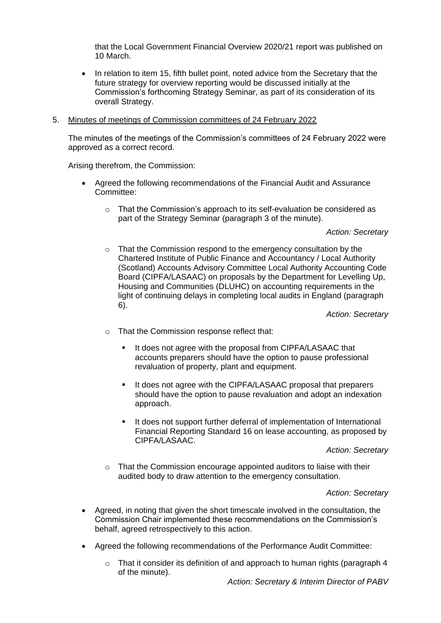that the Local Government Financial Overview 2020/21 report was published on 10 March.

• In relation to item 15, fifth bullet point, noted advice from the Secretary that the future strategy for overview reporting would be discussed initially at the Commission's forthcoming Strategy Seminar, as part of its consideration of its overall Strategy.

#### 5. Minutes of meetings of Commission committees of 24 February 2022

The minutes of the meetings of the Commission's committees of 24 February 2022 were approved as a correct record.

Arising therefrom, the Commission:

- Agreed the following recommendations of the Financial Audit and Assurance Committee:
	- $\circ$  That the Commission's approach to its self-evaluation be considered as part of the Strategy Seminar (paragraph 3 of the minute).

*Action: Secretary*

o That the Commission respond to the emergency consultation by the Chartered Institute of Public Finance and Accountancy / Local Authority (Scotland) Accounts Advisory Committee Local Authority Accounting Code Board (CIPFA/LASAAC) on proposals by the Department for Levelling Up, Housing and Communities (DLUHC) on accounting requirements in the light of continuing delays in completing local audits in England (paragraph 6).

*Action: Secretary*

- o That the Commission response reflect that:
	- It does not agree with the proposal from CIPFA/LASAAC that accounts preparers should have the option to pause professional revaluation of property, plant and equipment.
	- It does not agree with the CIPFA/LASAAC proposal that preparers should have the option to pause revaluation and adopt an indexation approach.
	- It does not support further deferral of implementation of International Financial Reporting Standard 16 on lease accounting, as proposed by CIPFA/LASAAC.

#### *Action: Secretary*

o That the Commission encourage appointed auditors to liaise with their audited body to draw attention to the emergency consultation.

#### *Action: Secretary*

- Agreed, in noting that given the short timescale involved in the consultation, the Commission Chair implemented these recommendations on the Commission's behalf, agreed retrospectively to this action.
- Agreed the following recommendations of the Performance Audit Committee:
	- $\circ$  That it consider its definition of and approach to human rights (paragraph 4 of the minute).

*Action: Secretary & Interim Director of PABV*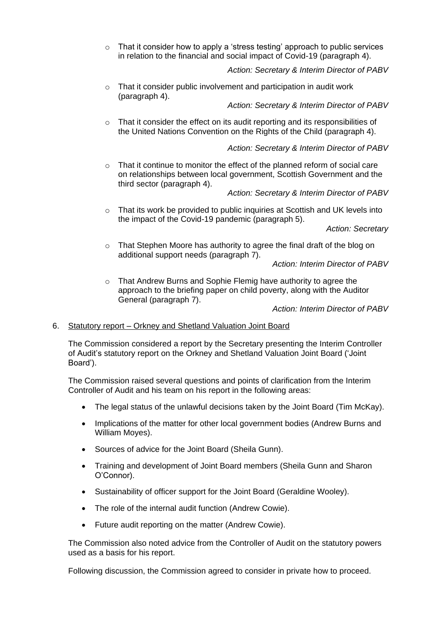$\circ$  That it consider how to apply a 'stress testing' approach to public services in relation to the financial and social impact of Covid-19 (paragraph 4).

*Action: Secretary & Interim Director of PABV*

o That it consider public involvement and participation in audit work (paragraph 4).

*Action: Secretary & Interim Director of PABV*

o That it consider the effect on its audit reporting and its responsibilities of the United Nations Convention on the Rights of the Child (paragraph 4).

*Action: Secretary & Interim Director of PABV*

 $\circ$  That it continue to monitor the effect of the planned reform of social care on relationships between local government, Scottish Government and the third sector (paragraph 4).

*Action: Secretary & Interim Director of PABV*

 $\circ$  That its work be provided to public inquiries at Scottish and UK levels into the impact of the Covid-19 pandemic (paragraph 5).

*Action: Secretary*

o That Stephen Moore has authority to agree the final draft of the blog on additional support needs (paragraph 7).

*Action: Interim Director of PABV*

o That Andrew Burns and Sophie Flemig have authority to agree the approach to the briefing paper on child poverty, along with the Auditor General (paragraph 7).

*Action: Interim Director of PABV*

## 6. Statutory report – Orkney and Shetland Valuation Joint Board

The Commission considered a report by the Secretary presenting the Interim Controller of Audit's statutory report on the Orkney and Shetland Valuation Joint Board ('Joint Board').

The Commission raised several questions and points of clarification from the Interim Controller of Audit and his team on his report in the following areas:

- The legal status of the unlawful decisions taken by the Joint Board (Tim McKay).
- Implications of the matter for other local government bodies (Andrew Burns and William Moyes).
- Sources of advice for the Joint Board (Sheila Gunn).
- Training and development of Joint Board members (Sheila Gunn and Sharon O'Connor).
- Sustainability of officer support for the Joint Board (Geraldine Wooley).
- The role of the internal audit function (Andrew Cowie).
- Future audit reporting on the matter (Andrew Cowie).

The Commission also noted advice from the Controller of Audit on the statutory powers used as a basis for his report.

Following discussion, the Commission agreed to consider in private how to proceed.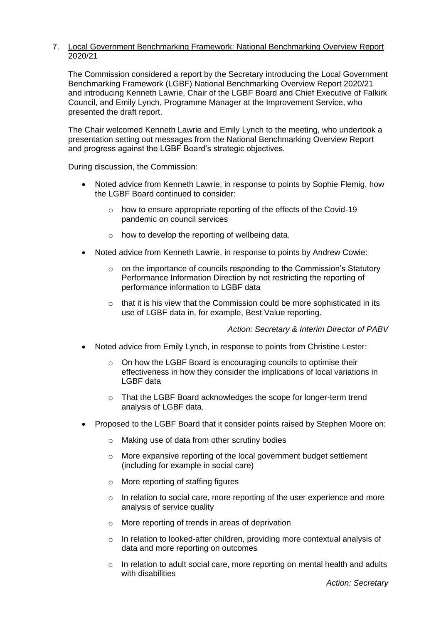### 7. Local Government Benchmarking Framework: National Benchmarking Overview Report 2020/21

The Commission considered a report by the Secretary introducing the Local Government Benchmarking Framework (LGBF) National Benchmarking Overview Report 2020/21 and introducing Kenneth Lawrie, Chair of the LGBF Board and Chief Executive of Falkirk Council, and Emily Lynch, Programme Manager at the Improvement Service, who presented the draft report.

The Chair welcomed Kenneth Lawrie and Emily Lynch to the meeting, who undertook a presentation setting out messages from the National Benchmarking Overview Report and progress against the LGBF Board's strategic objectives.

During discussion, the Commission:

- Noted advice from Kenneth Lawrie, in response to points by Sophie Flemig, how the LGBF Board continued to consider:
	- $\circ$  how to ensure appropriate reporting of the effects of the Covid-19 pandemic on council services
	- o how to develop the reporting of wellbeing data.
- Noted advice from Kenneth Lawrie, in response to points by Andrew Cowie:
	- o on the importance of councils responding to the Commission's Statutory Performance Information Direction by not restricting the reporting of performance information to LGBF data
	- o that it is his view that the Commission could be more sophisticated in its use of LGBF data in, for example, Best Value reporting.

*Action: Secretary & Interim Director of PABV*

- Noted advice from Emily Lynch, in response to points from Christine Lester:
	- o On how the LGBF Board is encouraging councils to optimise their effectiveness in how they consider the implications of local variations in LGBF data
	- o That the LGBF Board acknowledges the scope for longer-term trend analysis of LGBF data.
- Proposed to the LGBF Board that it consider points raised by Stephen Moore on:
	- o Making use of data from other scrutiny bodies
	- o More expansive reporting of the local government budget settlement (including for example in social care)
	- o More reporting of staffing figures
	- o In relation to social care, more reporting of the user experience and more analysis of service quality
	- o More reporting of trends in areas of deprivation
	- o In relation to looked-after children, providing more contextual analysis of data and more reporting on outcomes
	- $\circ$  In relation to adult social care, more reporting on mental health and adults with disabilities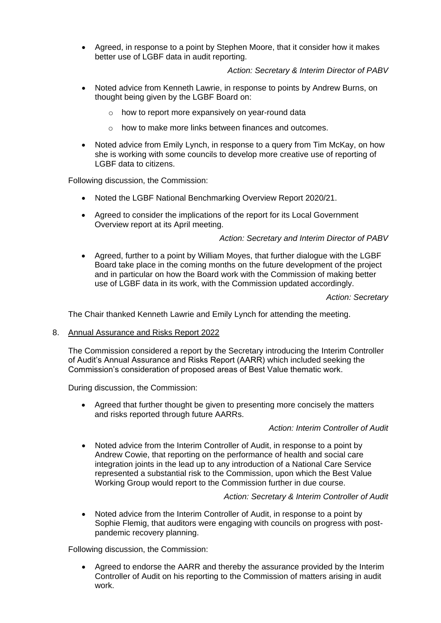• Agreed, in response to a point by Stephen Moore, that it consider how it makes better use of LGBF data in audit reporting.

*Action: Secretary & Interim Director of PABV*

- Noted advice from Kenneth Lawrie, in response to points by Andrew Burns, on thought being given by the LGBF Board on:
	- o how to report more expansively on year-round data
	- o how to make more links between finances and outcomes.
- Noted advice from Emily Lynch, in response to a query from Tim McKay, on how she is working with some councils to develop more creative use of reporting of LGBF data to citizens.

Following discussion, the Commission:

- Noted the LGBF National Benchmarking Overview Report 2020/21.
- Agreed to consider the implications of the report for its Local Government Overview report at its April meeting.

## *Action: Secretary and Interim Director of PABV*

• Agreed, further to a point by William Moyes, that further dialogue with the LGBF Board take place in the coming months on the future development of the project and in particular on how the Board work with the Commission of making better use of LGBF data in its work, with the Commission updated accordingly.

## *Action: Secretary*

The Chair thanked Kenneth Lawrie and Emily Lynch for attending the meeting.

## 8. Annual Assurance and Risks Report 2022

The Commission considered a report by the Secretary introducing the Interim Controller of Audit's Annual Assurance and Risks Report (AARR) which included seeking the Commission's consideration of proposed areas of Best Value thematic work.

During discussion, the Commission:

• Agreed that further thought be given to presenting more concisely the matters and risks reported through future AARRs.

## *Action: Interim Controller of Audit*

• Noted advice from the Interim Controller of Audit, in response to a point by Andrew Cowie, that reporting on the performance of health and social care integration joints in the lead up to any introduction of a National Care Service represented a substantial risk to the Commission, upon which the Best Value Working Group would report to the Commission further in due course.

## *Action: Secretary & Interim Controller of Audit*

• Noted advice from the Interim Controller of Audit, in response to a point by Sophie Flemig, that auditors were engaging with councils on progress with postpandemic recovery planning.

Following discussion, the Commission:

• Agreed to endorse the AARR and thereby the assurance provided by the Interim Controller of Audit on his reporting to the Commission of matters arising in audit work.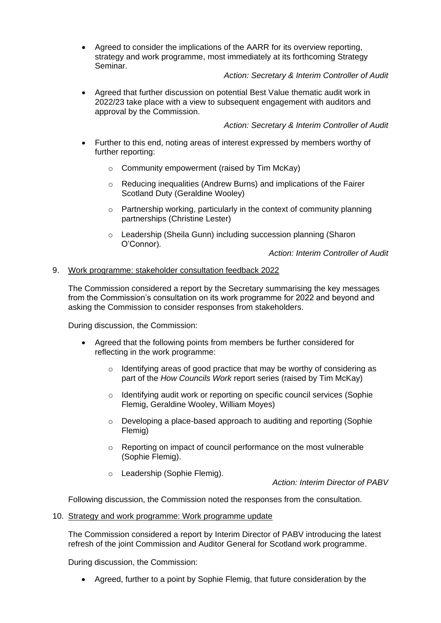• Agreed to consider the implications of the AARR for its overview reporting, strategy and work programme, most immediately at its forthcoming Strategy Seminar.

# *Action: Secretary & Interim Controller of Audit*

• Agreed that further discussion on potential Best Value thematic audit work in 2022/23 take place with a view to subsequent engagement with auditors and approval by the Commission.

# *Action: Secretary & Interim Controller of Audit*

- Further to this end, noting areas of interest expressed by members worthy of further reporting:
	- o Community empowerment (raised by Tim McKay)
	- o Reducing inequalities (Andrew Burns) and implications of the Fairer Scotland Duty (Geraldine Wooley)
	- o Partnership working, particularly in the context of community planning partnerships (Christine Lester)
	- o Leadership (Sheila Gunn) including succession planning (Sharon O'Connor).

*Action: Interim Controller of Audit*

## 9. Work programme: stakeholder consultation feedback 2022

The Commission considered a report by the Secretary summarising the key messages from the Commission's consultation on its work programme for 2022 and beyond and asking the Commission to consider responses from stakeholders.

During discussion, the Commission:

- Agreed that the following points from members be further considered for reflecting in the work programme:
	- o Identifying areas of good practice that may be worthy of considering as part of the *How Councils Work* report series (raised by Tim McKay)
	- o Identifying audit work or reporting on specific council services (Sophie Flemig, Geraldine Wooley, William Moyes)
	- $\circ$  Developing a place-based approach to auditing and reporting (Sophie Flemig)
	- o Reporting on impact of council performance on the most vulnerable (Sophie Flemig).
	- o Leadership (Sophie Flemig).

*Action: Interim Director of PABV*

Following discussion, the Commission noted the responses from the consultation.

10. Strategy and work programme: Work programme update

The Commission considered a report by Interim Director of PABV introducing the latest refresh of the joint Commission and Auditor General for Scotland work programme.

During discussion, the Commission:

• Agreed, further to a point by Sophie Flemig, that future consideration by the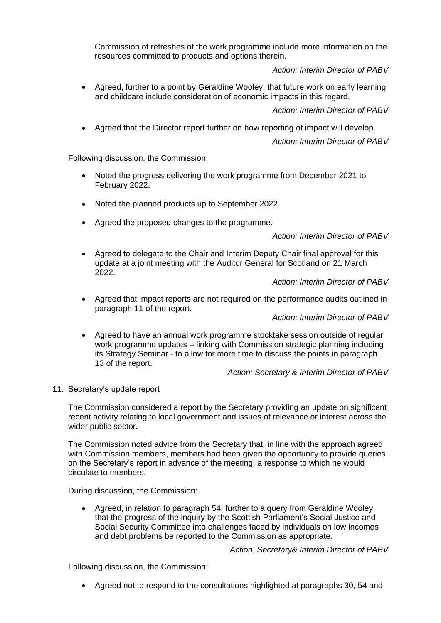Commission of refreshes of the work programme include more information on the resources committed to products and options therein.

*Action: Interim Director of PABV*

• Agreed, further to a point by Geraldine Wooley, that future work on early learning and childcare include consideration of economic impacts in this regard.

*Action: Interim Director of PABV*

• Agreed that the Director report further on how reporting of impact will develop.

*Action: Interim Director of PABV*

Following discussion, the Commission:

- Noted the progress delivering the work programme from December 2021 to February 2022.
- Noted the planned products up to September 2022.
- Agreed the proposed changes to the programme.

*Action: Interim Director of PABV*

• Agreed to delegate to the Chair and Interim Deputy Chair final approval for this update at a joint meeting with the Auditor General for Scotland on 21 March 2022.

*Action: Interim Director of PABV*

• Agreed that impact reports are not required on the performance audits outlined in paragraph 11 of the report.

*Action: Interim Director of PABV*

• Agreed to have an annual work programme stocktake session outside of regular work programme updates – linking with Commission strategic planning including its Strategy Seminar - to allow for more time to discuss the points in paragraph 13 of the report.

*Action: Secretary & Interim Director of PABV*

#### 11. Secretary's update report

The Commission considered a report by the Secretary providing an update on significant recent activity relating to local government and issues of relevance or interest across the wider public sector.

The Commission noted advice from the Secretary that, in line with the approach agreed with Commission members, members had been given the opportunity to provide queries on the Secretary's report in advance of the meeting, a response to which he would circulate to members.

During discussion, the Commission:

• Agreed, in relation to paragraph 54, further to a query from Geraldine Wooley, that the progress of the inquiry by the Scottish Parliament's Social Justice and Social Security Committee into challenges faced by individuals on low incomes and debt problems be reported to the Commission as appropriate.

*Action: Secretary& Interim Director of PABV*

Following discussion, the Commission:

• Agreed not to respond to the consultations highlighted at paragraphs 30, 54 and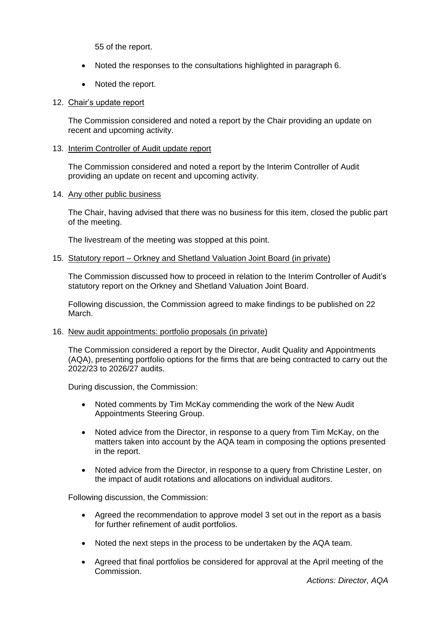55 of the report.

- Noted the responses to the consultations highlighted in paragraph 6.
- Noted the report.

### 12. Chair's update report

The Commission considered and noted a report by the Chair providing an update on recent and upcoming activity.

#### 13. Interim Controller of Audit update report

The Commission considered and noted a report by the Interim Controller of Audit providing an update on recent and upcoming activity.

#### 14. Any other public business

The Chair, having advised that there was no business for this item, closed the public part of the meeting.

The livestream of the meeting was stopped at this point.

#### 15. Statutory report – Orkney and Shetland Valuation Joint Board (in private)

The Commission discussed how to proceed in relation to the Interim Controller of Audit's statutory report on the Orkney and Shetland Valuation Joint Board.

Following discussion, the Commission agreed to make findings to be published on 22 March.

#### 16. New audit appointments: portfolio proposals (in private)

The Commission considered a report by the Director, Audit Quality and Appointments (AQA), presenting portfolio options for the firms that are being contracted to carry out the 2022/23 to 2026/27 audits.

During discussion, the Commission:

- Noted comments by Tim McKay commending the work of the New Audit Appointments Steering Group.
- Noted advice from the Director, in response to a query from Tim McKay, on the matters taken into account by the AQA team in composing the options presented in the report.
- Noted advice from the Director, in response to a query from Christine Lester, on the impact of audit rotations and allocations on individual auditors.

Following discussion, the Commission:

- Agreed the recommendation to approve model 3 set out in the report as a basis for further refinement of audit portfolios.
- Noted the next steps in the process to be undertaken by the AQA team.
- Agreed that final portfolios be considered for approval at the April meeting of the Commission.